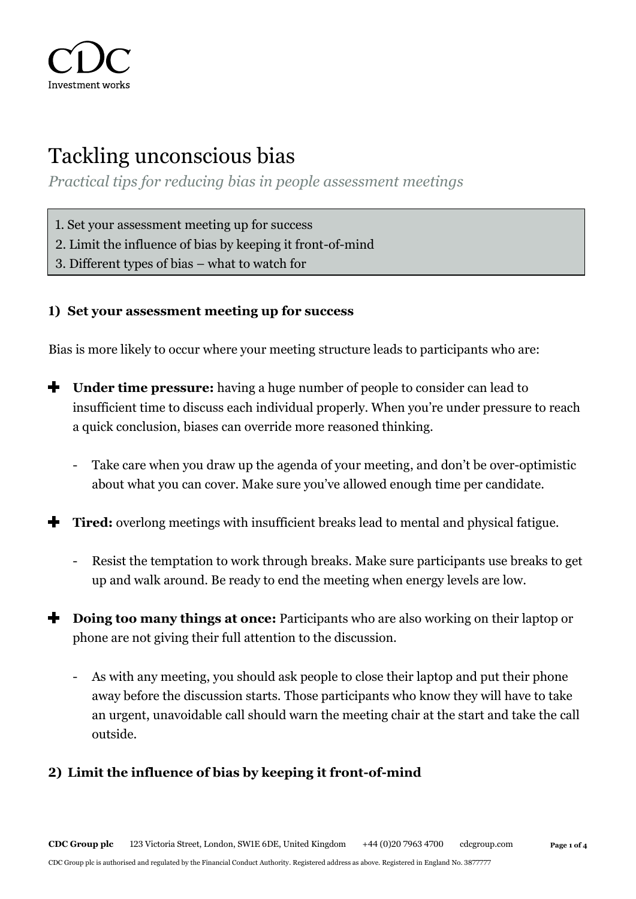

# Tackling unconscious bias

*Practical tips for reducing bias in people assessment meetings*

- 1. Set your assessment meeting up for success
- 2. Limit the influence of bias by keeping it front-of-mind
- 3. Different types of bias what to watch for

#### **1) Set your assessment meeting up for success**

Bias is more likely to occur where your meeting structure leads to participants who are:

- ÷ **Under time pressure:** having a huge number of people to consider can lead to insufficient time to discuss each individual properly. When you're under pressure to reach a quick conclusion, biases can override more reasoned thinking.
	- Take care when you draw up the agenda of your meeting, and don't be over-optimistic about what you can cover. Make sure you've allowed enough time per candidate.
- **Tired:** overlong meetings with insufficient breaks lead to mental and physical fatigue.
	- Resist the temptation to work through breaks. Make sure participants use breaks to get up and walk around. Be ready to end the meeting when energy levels are low.
- **Doing too many things at once:** Participants who are also working on their laptop or phone are not giving their full attention to the discussion.
	- As with any meeting, you should ask people to close their laptop and put their phone away before the discussion starts. Those participants who know they will have to take an urgent, unavoidable call should warn the meeting chair at the start and take the call outside.

# **2) Limit the influence of bias by keeping it front-of-mind**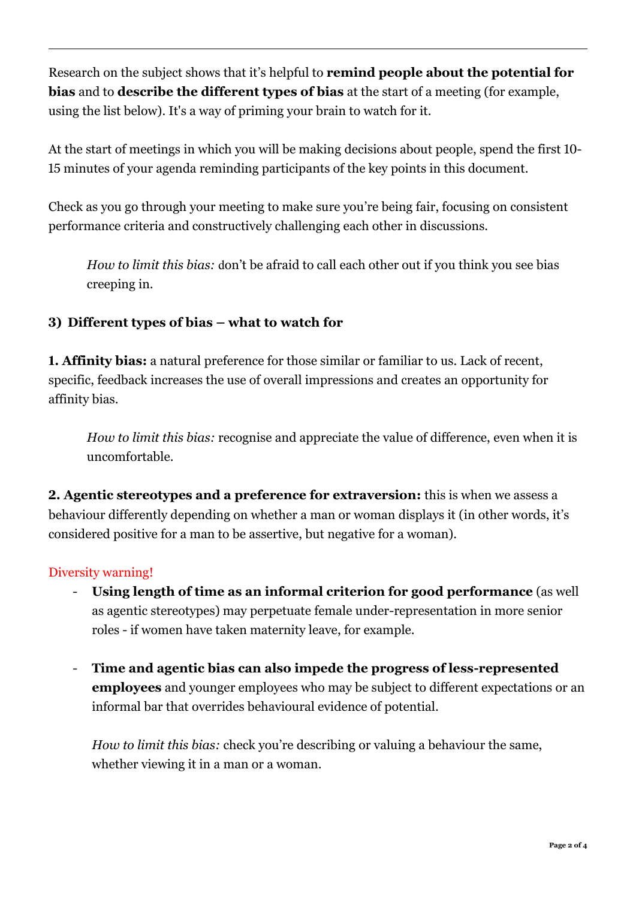Research on the subject shows that it's helpful to **remind people about the potential for bias** and to **describe the different types of bias** at the start of a meeting (for example, using the list below). It's a way of priming your brain to watch for it.

At the start of meetings in which you will be making decisions about people, spend the first 10- 15 minutes of your agenda reminding participants of the key points in this document.

Check as you go through your meeting to make sure you're being fair, focusing on consistent performance criteria and constructively challenging each other in discussions.

*How to limit this bias:* don't be afraid to call each other out if you think you see bias creeping in.

# **3) Different types of bias – what to watch for**

**1. Affinity bias:** a natural preference for those similar or familiar to us. Lack of recent, specific, feedback increases the use of overall impressions and creates an opportunity for affinity bias.

*How to limit this bias:* recognise and appreciate the value of difference, even when it is uncomfortable.

**2. Agentic stereotypes and a preference for extraversion:** this is when we assess a behaviour differently depending on whether a man or woman displays it (in other words, it's considered positive for a man to be assertive, but negative for a woman).

#### Diversity warning!

- **Using length of time as an informal criterion for good performance** (as well as agentic stereotypes) may perpetuate female under-representation in more senior roles - if women have taken maternity leave, for example.
- **Time and agentic bias can also impede the progress of less-represented employees** and younger employees who may be subject to different expectations or an informal bar that overrides behavioural evidence of potential.

*How to limit this bias:* check you're describing or valuing a behaviour the same, whether viewing it in a man or a woman.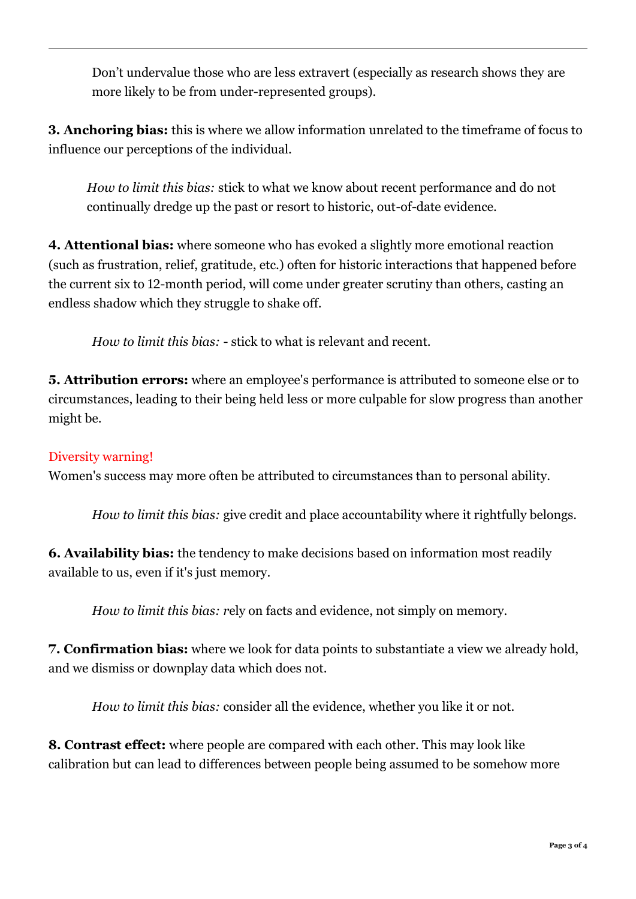Don't undervalue those who are less extravert (especially as research shows they are more likely to be from under-represented groups).

**3. Anchoring bias:** this is where we allow information unrelated to the timeframe of focus to influence our perceptions of the individual.

*How to limit this bias:* stick to what we know about recent performance and do not continually dredge up the past or resort to historic, out-of-date evidence.

**4. Attentional bias:** where someone who has evoked a slightly more emotional reaction (such as frustration, relief, gratitude, etc.) often for historic interactions that happened before the current six to 12-month period, will come under greater scrutiny than others, casting an endless shadow which they struggle to shake off.

*How to limit this bias:* - stick to what is relevant and recent.

**5. Attribution errors:** where an employee's performance is attributed to someone else or to circumstances, leading to their being held less or more culpable for slow progress than another might be.

# Diversity warning!

Women's success may more often be attributed to circumstances than to personal ability.

*How to limit this bias:* give credit and place accountability where it rightfully belongs.

**6. Availability bias:** the tendency to make decisions based on information most readily available to us, even if it's just memory.

*How to limit this bias: r*ely on facts and evidence, not simply on memory.

**7. Confirmation bias:** where we look for data points to substantiate a view we already hold, and we dismiss or downplay data which does not.

*How to limit this bias:* consider all the evidence, whether you like it or not.

**8. Contrast effect:** where people are compared with each other. This may look like calibration but can lead to differences between people being assumed to be somehow more